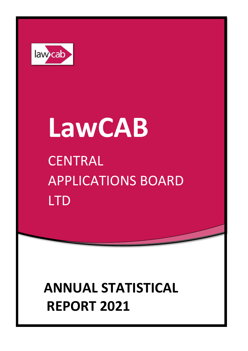

# **LawCAB CENTRAL** APPLICATIONS BOARD LTD

# **ANNUAL STATISTICAL REPORT 2021**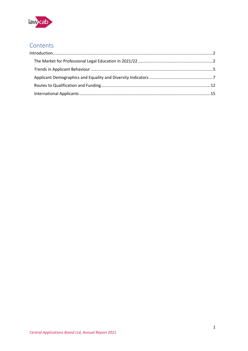

# Contents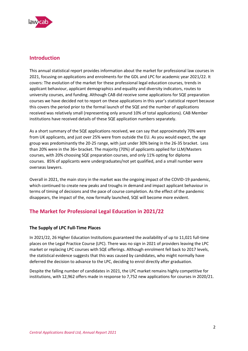

# <span id="page-2-0"></span>**Introduction**

This annual statistical report provides information about the market for professional law courses in 2021, focusing on applications and enrolments for the GDL and LPC for academic year 2021/22. It covers: The evolution of the market for these professional legal education courses, trends in applicant behaviour, applicant demographics and equality and diversity indicators, routes to university courses, and funding. Although CAB did receive some applications for SQE preparation courses we have decided not to report on these applications in this year's statistical report because this covers the period prior to the formal launch of the SQE and the number of applications received was relatively small (representing only around 10% of total applications). CAB Member institutions have received details of these SQE application numbers separately.

As a short summary of the SQE applications received, we can say that approximately 70% were from UK applicants, and just over 25% were from outside the EU. As you would expect, the age group was predominantly the 20-25 range, with just under 30% being in the 26-35 bracket. Less than 20% were in the 36+ bracket. The majority (70%) of applicants applied for LLM/Masters courses, with 20% choosing SQE preparation courses, and only 11% opting for diploma courses. 85% of applicants were undergraduates/not yet qualified, and a small number were overseas lawyers.

Overall in 2021, the main story in the market was the ongoing impact of the COVID-19 pandemic, which continued to create new peaks and troughs in demand and impact applicant behaviour in terms of timing of decisions and the pace of course completion. As the effect of the pandemic disappears, the impact of the, now formally launched, SQE will become more evident.

# <span id="page-2-1"></span>**The Market for Professional Legal Education in 2021/22**

#### **The Supply of LPC Full-Time Places**

In 2021/22, 26 Higher Education Institutions guaranteed the availability of up to 11,021 full-time places on the Legal Practice Course (LPC). There was no sign in 2021 of providers leaving the LPC market or replacing LPC courses with SQE offerings. Although enrolment fell back to 2017 levels, the statistical evidence suggests that this was caused by candidates, who might normally have deferred the decision to advance to the LPC, deciding to enrol directly after graduation.

Despite the falling number of candidates in 2021, the LPC market remains highly competitive for institutions, with 12,962 offers made in response to 7,752 new applications for courses in 2020/21.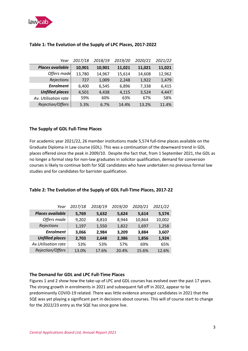

| Year                    | 2017/18 | 2018/19 | 2019/20 | 2020/21 | 2021/22 |
|-------------------------|---------|---------|---------|---------|---------|
| <b>Places available</b> | 10,901  | 10,901  | 11,021  | 11,021  | 11,021  |
| Offers made             | 13,780  | 14,967  | 15,614  | 14,608  | 12,962  |
| Rejections              | 727     | 1,009   | 2,248   | 1,922   | 1,479   |
| <b>Enrolment</b>        | 6,400   | 6,545   | 6,896   | 7,338   | 6,415   |
| <b>Unfilled places</b>  | 4,501   | 4,438   | 4,115   | 3,524   | 4,447   |
| Av. Utilisation rate    | 59%     | 60%     | 63%     | 67%     | 58%     |
| Rejection/Offers        | 5.3%    | 6.7%    | 14.4%   | 13.2%   | 11.4%   |

#### **Table 1: The Evolution of the Supply of LPC Places, 2017-2022**

#### **The Supply of GDL Full-Time Places**

For academic year 2021/22, 26 member institutions made 5,574 full-time places available on the Graduate Diploma in Law course (GDL). This was a continuation of the downward trend in GDL places offered since the peak in 2009/10. Despite the fact that, from 1 September 2021, the GDL as no longer a formal step for non-law graduates in solicitor qualification, demand for conversion courses is likely to continue both for SQE candidates who have undertaken no previous formal law studies and for candidates for barrister qualification.

#### **Table 2: The Evolution of the Supply of GDL Full-Time Places, 2017-22**

| Year                   | 2017/18 | 2018/19 | 2019/20 | 2020/21 | 2021/22 |
|------------------------|---------|---------|---------|---------|---------|
| Places available       | 5,769   | 5,632   | 5,624   | 5,614   | 5,574   |
| Offers made            | 9,202   | 8,810   | 8,944   | 10,864  | 10,002  |
| Rejections             | 1,197   | 1,550   | 1,822   | 1,697   | 1,258   |
| <b>Enrolment</b>       | 3,066   | 2,984   | 3,209   | 3,884   | 3,607   |
| <b>Unfilled places</b> | 2,703   | 2,648   | 2,386   | 1,856   | 1,924   |
| Av.Utilisation rate    | 53%     | 53%     | 57%     | 69%     | 65%     |
| Rejection/Offers       | 13.0%   | 17.6%   | 20.4%   | 15.6%   | 12.6%   |

#### **The Demand for GDL and LPC Full-Time Places**

Figures 1 and 2 show how the take-up of LPC and GDL courses has evolved over the past 17 years. The strong growth in enrolments in 2021 and subsequent fall off in 2022, appear to be predominantly COVID-19 related. There was little evidence amongst candidates in 2021 that the SQE was yet playing a significant part in decisions about courses. This will of course start to change for the 2022/23 entry as the SQE has since gone live.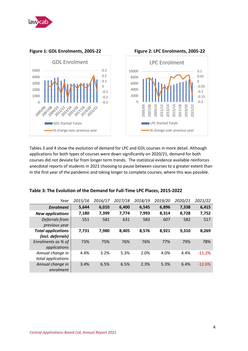



#### **Figure 1: GDL Enrolments, 2005-22 Figure 2: LPC Enrolments, 2005-22**

Tables 3 and 4 show the evolution of demand for LPC and GDL courses in more detail. Although applications for both types of courses were down significantly on 2020/21, demand for both courses did not deviate far from longer term trends. The statistical evidence available reinforces anecdotal reports of students in 2021 choosing to pause between courses to a greater extent than

| Table 3: The Evolution of the Demand for Full-Time LPC Places, 2015-2022 |  |  |  |  |
|--------------------------------------------------------------------------|--|--|--|--|
|--------------------------------------------------------------------------|--|--|--|--|

| Year                                           | 2015/16 | 2016/17 | 2017/18 | 2018/19 | 2019/20 | 2020/21 | 2021/22  |
|------------------------------------------------|---------|---------|---------|---------|---------|---------|----------|
| <b>Enrolment</b>                               | 5,644   | 6,010   | 6,400   | 6,545   | 6,896   | 7,338   | 6,415    |
| <b>New applications</b>                        | 7,180   | 7,399   | 7,774   | 7,993   | 8,314   | 8,728   | 7,752    |
| Deferrals from<br>previous year                | 551     | 581     | 631     | 583     | 607     | 582     | 517      |
| <b>Total applications</b><br>(incl. deferrals) | 7,731   | 7,980   | 8,405   | 8.576   | 8,921   | 9.310   | 8,269    |
| Enrolments as % of<br>applications             | 73%     | 75%     | 76%     | 76%     | 77%     | 79%     | 78%      |
| Annual change in<br>total applications         | 4.4%    | 3.2%    | 5.3%    | 2.0%    | 4.0%    | 4.4%    | $-11.2%$ |
| Annual change in<br>enrolment                  | 3.4%    | 6.5%    | 6.5%    | 2.3%    | 5.3%    | 6.4%    | $-12.6%$ |

in the first year of the pandemic and taking longer to complete courses, where this was possible.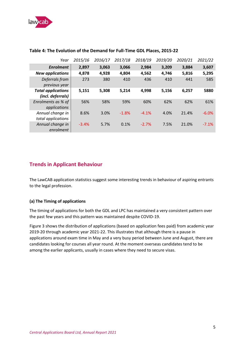

| Year                                           | 2015/16 | 2016/17 | 2017/18 | 2018/19 | 2019/20 | 2020/21 | 2021/22 |
|------------------------------------------------|---------|---------|---------|---------|---------|---------|---------|
| <b>Enrolment</b>                               | 2,897   | 3,063   | 3,066   | 2,984   | 3,209   | 3,884   | 3,607   |
| <b>New applications</b>                        | 4,878   | 4,928   | 4,804   | 4,562   | 4,746   | 5,816   | 5,295   |
| Deferrals from<br>previous year                | 273     | 380     | 410     | 436     | 410     | 441     | 585     |
| <b>Total applications</b><br>(incl. deferrals) | 5,151   | 5,308   | 5,214   | 4,998   | 5,156   | 6,257   | 5880    |
| Enrolments as % of<br>applications             | 56%     | 58%     | 59%     | 60%     | 62%     | 62%     | 61%     |
| Annual change in<br>total applications         | 8.6%    | 3.0%    | $-1.8%$ | $-4.1%$ | 4.0%    | 21.4%   | $-6.0%$ |
| Annual change in<br>enrolment                  | $-3.4%$ | 5.7%    | 0.1%    | $-2.7%$ | 7.5%    | 21.0%   | $-7.1%$ |

#### **Table 4: The Evolution of the Demand for Full-Time GDL Places, 2015-22**

## <span id="page-5-0"></span>**Trends in Applicant Behaviour**

The LawCAB application statistics suggest some interesting trends in behaviour of aspiring entrants to the legal profession.

#### **(a) The Timing of applications**

The timing of applications for both the GDL and LPC has maintained a very consistent pattern over the past few years and this pattern was maintained despite COVID-19.

Figure 3 shows the distribution of applications (based on application fees paid) from academic year 2019-20 through academic year 2021-22. This illustrates that although there is a pause in applications around exam time in May and a very busy period between June and August, there are candidates looking for courses all year round. At the moment overseas candidates tend to be among the earlier applicants, usually in cases where they need to secure visas.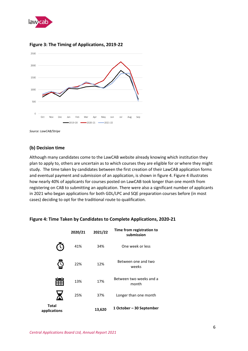



#### **Figure 3: The Timing of Applications, 2019-22**

*Source: LawCAB/Stripe*

#### **(b) Decision time**

Although many candidates come to the LawCAB website already knowing which institution they plan to apply to, others are uncertain as to which courses they are eligible for or where they might study. The time taken by candidates between the first creation of their LawCAB application forms and eventual payment and submission of an application, is shown in figure 4. Figure 4 illustrates how nearly 40% of applicants for courses posted on LawCAB took longer than one month from registering on CAB to submitting an application. There were also a significant number of applicants in 2021 who began applications for both GDL/LPC and SQE preparation courses before (in most cases) deciding to opt for the traditional route to qualification.



#### **Figure 4: Time Taken by Candidates to Complete Applications, 2020-21**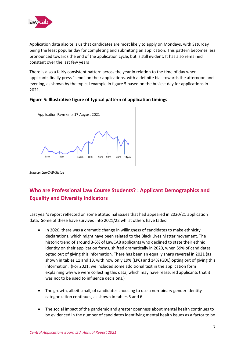

Application data also tells us that candidates are most likely to apply on Mondays, with Saturday being the least popular day for completing and submitting an application. This pattern becomes less pronounced towards the end of the application cycle, but is still evident. It has also remained constant over the last few years

There is also a fairly consistent pattern across the year in relation to the time of day when applicants finally press "send" on their applications, with a definite bias towards the afternoon and evening, as shown by the typical example in figure 5 based on the busiest day for applications in 2021.

#### **Figure 5: Illustrative figure of typical pattern of application timings**



*Source: LawCAB/Stripe* 

# <span id="page-7-0"></span>**Who are Professional Law Course Students? : Applicant Demographics and Equality and Diversity Indicators**

Last year's report reflected on some attitudinal issues that had appeared in 2020/21 application data. Some of these have survived into 2021/22 whilst others have faded.

- In 2020, there was a dramatic change in willingness of candidates to make ethnicity declarations, which might have been related to the Black Lives Matter movement. The historic trend of around 3-5% of LawCAB applicants who declined to state their ethnic identity on their application forms, shifted dramatically in 2020, when 59% of candidates opted out of giving this information. There has been an equally sharp reversal in 2021 (as shown in tables 11 and 13, with now only 19% (LPC) and 14% (GDL) opting out of giving this information. (For 2021, we included some additional text in the application form explaining why we were collecting this data, which may have reassured applicants that it was not to be used to influence decisions.)
- The growth, albeit small, of candidates choosing to use a non-binary gender identity categorization continues, as shown in tables 5 and 6.
- The social impact of the pandemic and greater openness about mental health continues to be evidenced in the number of candidates identifying mental health issues as a factor to be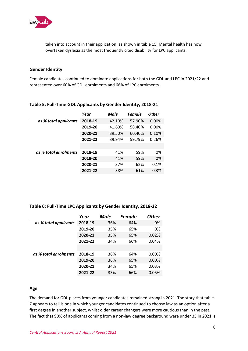

taken into account in their application, as shown in table 15. Mental health has now overtaken dyslexia as the most frequently cited disability for LPC applicants.

#### **Gender Identity**

Female candidates continued to dominate applications for both the GDL and LPC in 2021/22 and represented over 60% of GDL enrolments and 66% of LPC enrolments.

|                       | Year    | Male   | <b>Female</b> | <b>Other</b> |
|-----------------------|---------|--------|---------------|--------------|
| as % total applicants | 2018-19 | 42.10% | 57.90%        | $0.00\%$     |
|                       | 2019-20 | 41.60% | 58.40%        | 0.00%        |
|                       | 2020-21 | 39.50% | 60.40%        | 0.10%        |
|                       | 2021-22 | 39.94% | 59.79%        | 0.26%        |
|                       |         |        |               |              |
| as % total enrolments | 2018-19 | 41%    | 59%           | 0%           |
|                       | 2019-20 | 41%    | 59%           | 0%           |
|                       | 2020-21 | 37%    | 62%           | 0.1%         |
|                       | 2021-22 | 38%    | 61%           | 0.3%         |
|                       |         |        |               |              |

#### **Table 5: Full-Time GDL Applicants by Gender Identity, 2018-21**

#### **Table 6: Full-Time LPC Applicants by Gender Identity, 2018-22**

|                       | Year    | Male | <b>Female</b> | <b>Other</b> |
|-----------------------|---------|------|---------------|--------------|
| as % total applicants | 2018-19 | 36%  | 64%           | 0%           |
|                       | 2019-20 | 35%  | 65%           | 0%           |
|                       | 2020-21 | 35%  | 65%           | 0.02%        |
|                       | 2021-22 | 34%  | 66%           | 0.04%        |
|                       |         |      |               |              |
| as % total enrolments | 2018-19 | 36%  | 64%           | $0.00\%$     |
|                       | 2019-20 | 36%  | 65%           | $0.00\%$     |
|                       | 2020-21 | 34%  | 65%           | 0.03%        |
|                       | 2021-22 | 33%  | 66%           | 0.05%        |

#### **Age**

The demand for GDL places from younger candidates remained strong in 2021. The story that table 7 appears to tell is one in which younger candidates continued to choose law as an option after a first degree in another subject, whilst older career changers were more cautious than in the past. The fact that 90% of applicants coming from a non-law degree background were under 35 in 2021 is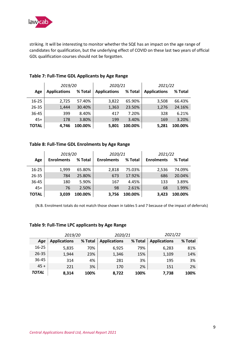

striking. It will be interesting to monitor whether the SQE has an impact on the age range of candidates for qualification, but the underlying effect of COVID on these last two years of official GDL qualification courses should not be forgotten.

|              | 2019/20             |         | 2020/21             |         | 2021/22             |         |  |
|--------------|---------------------|---------|---------------------|---------|---------------------|---------|--|
| Age          | <b>Applications</b> | % Total | <b>Applications</b> | % Total | <b>Applications</b> | % Total |  |
| $16 - 25$    | 2,725               | 57.40%  | 3,822               | 65.90%  | 3,508               | 66.43%  |  |
| $26 - 35$    | 1,444               | 30.40%  | 1,363               | 23.50%  | 1,276               | 24.16%  |  |
| 36-45        | 399                 | 8.40%   | 417                 | 7.20%   | 328                 | 6.21%   |  |
| $45+$        | 178                 | 3.80%   | 199                 | 3.40%   | 169                 | 3.20%   |  |
| <b>TOTAL</b> | 4,746               | 100.00% | 5,801               | 100.00% | 5,281               | 100.00% |  |

#### **Table 7: Full-Time GDL Applicants by Age Range**

#### **Table 8: Full-Time GDL Enrolments by Age Range**

|              | 2019/20           |         | 2020/21           |         | 2021/22           |         |  |
|--------------|-------------------|---------|-------------------|---------|-------------------|---------|--|
| Age          | <b>Enrolments</b> | % Total | <b>Enrolments</b> | % Total | <b>Enrolments</b> | % Total |  |
| $16 - 25$    | 1.999             | 65.80%  | 2,818             | 75.03%  | 2,536             | 74.09%  |  |
| 26-35        | 784               | 25.80%  | 673               | 17.92%  | 686               | 20.04%  |  |
| 36-45        | 180               | 5.90%   | 167               | 4.45%   | 133               | 3.89%   |  |
| $45+$        | 76                | 2.50%   | 98                | 2.61%   | 68                | 1.99%   |  |
| <b>TOTAL</b> | 3,039             | 100.00% | 3,756             | 100.00% | 3,423             | 100.00% |  |

(N.B. Enrolment totals do not match those shown in tables 5 and 7 because of the impact of deferrals)

#### **Table 9: Full-Time LPC applicants by Age Range**

|              | 2019/20             |         | 2020/21             |         | 2021/22             |         |  |
|--------------|---------------------|---------|---------------------|---------|---------------------|---------|--|
| Age          | <b>Applications</b> | % Total | <b>Applications</b> | % Total | <b>Applications</b> | % Total |  |
| $16 - 25$    | 5,835               | 70%     | 6,925               | 79%     | 6,283               | 81%     |  |
| $26 - 35$    | 1,944               | 23%     | 1,346               | 15%     | 1,109               | 14%     |  |
| 36-45        | 314                 | 4%      | 281                 | 3%      | 195                 | 3%      |  |
| $45 +$       | 221                 | 3%      | 170                 | 2%      | 151                 | 2%      |  |
| <b>TOTAL</b> | 8.314               | 100%    | 8,722               | 100%    | 7,738               | 100%    |  |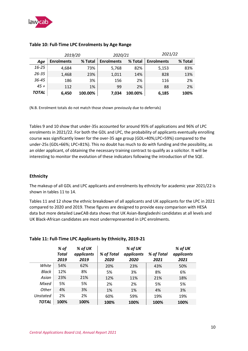

|              | 2019/20           |         | 2020/21           |         | 2021/22           |         |  |
|--------------|-------------------|---------|-------------------|---------|-------------------|---------|--|
| Age          | <b>Enrolments</b> | % Total | <b>Enrolments</b> | % Total | <b>Enrolments</b> | % Total |  |
| $16 - 25$    | 4,684             | 73%     | 5,768             | 82%     | 5,153             | 83%     |  |
| 26-35        | 1,468             | 23%     | 1,011             | 14%     | 828               | 13%     |  |
| 36-45        | 186               | 3%      | 156               | 2%      | 116               | 2%      |  |
| $45 +$       | 112               | 1%      | 99                | 2%      | 88                | 2%      |  |
| <b>TOTAL</b> | 6,450             | 100.00% | 7.034             | 100.00% | 6,185             | 100%    |  |

#### **Table 10: Full-Time LPC Enrolments by Age Range**

(N.B. Enrolment totals do not match those shown previously due to deferrals)

Tables 9 and 10 show that under-35s accounted for around 95% of applications and 96% of LPC enrolments in 2021/22. For both the GDL and LPC, the probability of applicants eventually enrolling course was significantly lower for the over-35 age group (GDL=40%;LPC=59%) compared to the under-25s (GDL=66%; LPC=81%). This no doubt has much to do with funding and the possibility, as an older applicant, of obtaining the necessary training contract to qualify as a solicitor. It will be interesting to monitor the evolution of these indicators following the introduction of the SQE.

#### **Ethnicity**

The makeup of all GDL and LPC applicants and enrolments by ethnicity for academic year 2021/22 is shown in tables 11 to 14.

Tables 11 and 12 show the ethnic breakdown of all applicants and UK applicants for the LPC in 2021 compared to 2020 and 2019. These figures are designed to provide easy comparison with HESA data but more detailed LawCAB data shows that UK Asian-Bangladeshi candidates at all levels and UK Black-African candidates are most underrepresented in LPC enrolments.

|              | % of<br><b>Total</b><br>2019 | % of UK<br>applicants<br>2019 | % of Total<br>2020 | % of UK<br>applicants<br>2020 | % of Total<br>2021 | % of UK<br>applicants<br>2021 |
|--------------|------------------------------|-------------------------------|--------------------|-------------------------------|--------------------|-------------------------------|
| White        | 54%                          | 62%                           | 20%                | 23%                           | 43%                | 50%                           |
| Black        | 12%                          | 8%                            | 5%                 | 3%                            | 8%                 | 6%                            |
| Asian        | 23%                          | 21%                           | 12%                | 11%                           | 21%                | 18%                           |
| Mixed        | 5%                           | 5%                            | 2%                 | 2%                            | 5%                 | 5%                            |
| Other        | 4%                           | 3%                            | 1%                 | 1%                            | 4%                 | 3%                            |
| Unstated     | 2%                           | 2%                            | 60%                | 59%                           | 19%                | 19%                           |
| <b>TOTAL</b> | 100%                         | 100%                          | 100%               | 100%                          | 100%               | 100%                          |

#### **Table 11: Full-Time LPC Applicants by Ethnicity, 2019-21**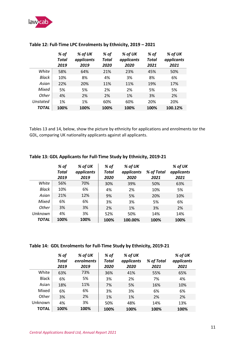

|          | % of  | % of UK<br>% of<br>% of UK |       | % of       | % of UK |            |
|----------|-------|----------------------------|-------|------------|---------|------------|
|          | Total | applicants                 | Total | applicants | Total   | applicants |
|          | 2019  | 2019                       | 2020  | 2020       | 2021    | 2021       |
| White    | 58%   | 64%                        | 21%   | 23%        | 45%     | 50%        |
| Black    | 10%   | 8%                         | 4%    | 3%         | 8%      | 6%         |
| Asian    | 22%   | 20%                        | 11%   | 11%        | 19%     | 17%        |
| Mixed    | 5%    | 5%                         | 2%    | 2%         | 5%      | 5%         |
| Other    | 4%    | 2%                         | 2%    | 1%         | 3%      | 2%         |
| Unstated | 1%    | 1%                         | 60%   | 60%        | 20%     | 20%        |
| TOTAL    | 100%  | 100%                       | 100%  | 100%       | 100%    | 100.12%    |

#### **Table 12: Full-Time LPC Enrolments by Ethnicity, 2019 – 2021**

Tables 13 and 14, below, show the picture by ethnicity for applications and enrolments tor the GDL, comparing UK nationality applicants against all applicants.

|              | % of         | % of UK    | % of         | % of UK    |            | % of UK    |
|--------------|--------------|------------|--------------|------------|------------|------------|
|              | <b>Total</b> | applicants | <b>Total</b> | applicants | % of Total | applicants |
|              | 2019         | 2019       | 2020         | 2020       | 2021       | 2021       |
| White        | 56%          | 70%        | 30%          | 39%        | 50%        | 63%        |
| Black        | 10%          | 6%         | 4%           | 2%         | 10%        | 5%         |
| Asian        | 21%          | 12%        | 9%           | 5%         | 20%        | 10%        |
| Mixed        | 6%           | 6%         | 3%           | 3%         | 5%         | 6%         |
| Other        | 3%           | 3%         | 2%           | 1%         | 3%         | 2%         |
| Unknown      | 4%           | 3%         | 52%          | 50%        | 14%        | 14%        |
| <b>TOTAL</b> | 100%         | 100%       | 100%         | 100.00%    | 100%       | 100%       |

#### **Table 13: GDL Applicants for Full-Time Study by Ethnicity, 2019-21**

#### **Table 14: GDL Enrolments for Full-Time Study by Ethnicity, 2019-21**

|              | % of         | % of UK    | % of  | % of UK    |            | % of UK    |
|--------------|--------------|------------|-------|------------|------------|------------|
|              | <b>Total</b> | enrolments | Total | applicants | % of Total | applicants |
|              | 2019         | 2019       | 2020  | 2020       | 2021       | 2021       |
| White        | 63%          | 73%        | 36%   | 41%        | 55%        | 65%        |
| <b>Black</b> | 6%           | 5%         | 3%    | 2%         | 7%         | 4%         |
| Asian        | 18%          | 11%        | 7%    | 5%         | 16%        | 10%        |
| Mixed        | 6%           | 6%         | 3%    | 3%         | 6%         | 6%         |
| Other        | 3%           | 2%         | 1%    | 1%         | 2%         | 2%         |
| Unknown      | 4%           | 3%         | 50%   | 48%        | 14%        | 13%        |
| TOTAL        | 100%         | 100%       | 100%  | 100%       | 100%       | 100%       |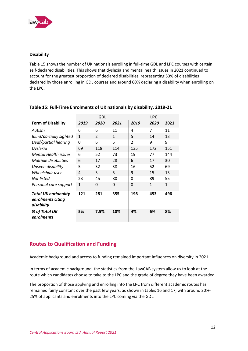

#### **Disability**

Table 15 shows the number of UK nationals enrolling in full-time GDL and LPC courses with certain self-declared disabilities. This shows that dyslexia and mental health issues in 2021 continued to account for the greatest proportion of declared disabilities, representing 53% of disabilities declared by those enrolling in GDL courses and around 60% declaring a disability when enrolling on the LPC.

|                                                                |              | <b>GDL</b>     |              |                | <b>LPC</b>   |      |
|----------------------------------------------------------------|--------------|----------------|--------------|----------------|--------------|------|
| <b>Form of Disability</b>                                      | 2019         | 2020           | 2021         | 2019           | 2020         | 2021 |
| Autism                                                         | 6            | 6              | 11           | 4              | 7            | 11   |
| Blind/partially sighted                                        | $\mathbf{1}$ | $\overline{2}$ | $\mathbf{1}$ | 5              | 14           | 13   |
| Deaf/partial hearing                                           | $\Omega$     | 6              | 5            | $\mathfrak{p}$ | 9            | 9    |
| Dyslexia                                                       | 69           | 118            | 114          | 135            | 172          | 151  |
| <b>Mental Health issues</b>                                    | 6            | 52             | 73           | 19             | 77           | 144  |
| Multiple disabilities                                          | 6            | 17             | 28           | 6              | 17           | 30   |
| Unseen disability                                              | 5            | 32             | 38           | 16             | 52           | 69   |
| Wheelchair user                                                | 4            | 3              | 5            | 9              | 15           | 13   |
| Not listed                                                     | 23           | 45             | 80           | $\Omega$       | 89           | 55   |
| Personal care support                                          | 1            | 0              | 0            | 0              | $\mathbf{1}$ | 1    |
| <b>Total UK nationality</b><br>enrolments citing<br>disability | 121          | 281            | 355          | 196            | 453          | 496  |
| % of Total UK<br>enrolments                                    | 5%           | 7.5%           | 10%          | 4%             | 6%           | 8%   |

#### **Table 15: Full-Time Enrolments of UK nationals by disability, 2019-21**

# <span id="page-12-0"></span>**Routes to Qualification and Funding**

Academic background and access to funding remained important influences on diversity in 2021.

In terms of academic background, the statistics from the LawCAB system allow us to look at the route which candidates choose to take to the LPC and the grade of degree they have been awarded

The proportion of those applying and enrolling into the LPC from different academic routes has remained fairly constant over the past few years, as shown in tables 16 and 17, with around 20%- 25% of applicants and enrolments into the LPC coming via the GDL.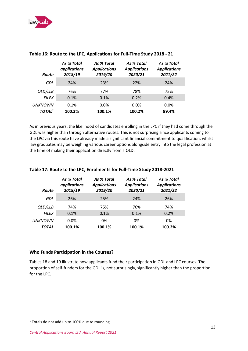

| Route                     | As % Total<br>applications<br>2018/19 | As % Total<br><b>Applications</b><br>2019/20 | As % Total<br><b>Applications</b><br>2020/21 | As % Total<br><b>Applications</b><br>2021/22 |
|---------------------------|---------------------------------------|----------------------------------------------|----------------------------------------------|----------------------------------------------|
| GDL                       | 24%                                   | 23%                                          | 22%                                          | 24%                                          |
| QLD/LLB                   | 76%                                   | 77%                                          | 78%                                          | 75%                                          |
| <b>FILEX</b>              | 0.1%                                  | 0.1%                                         | 0.2%                                         | 0.4%                                         |
| <b>UNKNOWN</b>            | 0.1%                                  | $0.0\%$                                      | $0.0\%$                                      | $0.0\%$                                      |
| <b>TOTAL</b> <sup>1</sup> | 100.2%                                | 100.1%                                       | 100.2%                                       | 99.4%                                        |

#### **Table 16: Route to the LPC, Applications for Full-Time Study 2018 - 21**

As in previous years, the likelihood of candidates enrolling in the LPC if they had come through the GDL was higher than through alternative routes. This is not surprising since applicants coming to the LPC via this route have already made a significant financial commitment to qualification, whilst law graduates may be weighing various career options alongside entry into the legal profession at the time of making their application directly from a QLD.

| <b>Route</b>   | As % Total<br>applications<br>2018/19 | As % Total<br><b>Applications</b><br>2019/20 | As % Total<br><b>Applications</b><br>2020/21 | As % Total<br><b>Applications</b><br>2021/22 |
|----------------|---------------------------------------|----------------------------------------------|----------------------------------------------|----------------------------------------------|
| GDL            | 26%                                   | 25%                                          | 24%                                          | 26%                                          |
| QLD/LLB        | 74%                                   | 75%                                          | 76%                                          | 74%                                          |
| <b>FILEX</b>   | 0.1%                                  | 0.1%                                         | 0.1%                                         | 0.2%                                         |
| <b>UNKNOWN</b> | $0.0\%$                               | 0%                                           | 0%                                           | 0%                                           |
| TOTAL          | 100.1%                                | 100.1%                                       | 100.1%                                       | 100.2%                                       |

#### **Table 17: Route to the LPC, Enrolments for Full-Time Study 2018-2021**

#### **Who Funds Participation in the Courses?**

Tables 18 and 19 illustrate how applicants fund their participation in GDL and LPC courses. The proportion of self-funders for the GDL is, not surprisingly, significantly higher than the proportion for the LPC.

<sup>&</sup>lt;sup>1</sup> Totals do not add up to 100% due to rounding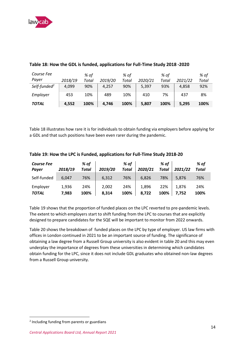

| Course Fee               |         | % of  |         | % of  |         | % of  |         | % of  |
|--------------------------|---------|-------|---------|-------|---------|-------|---------|-------|
| Payer                    | 2018/19 | Total | 2019/20 | Total | 2020/21 | Total | 2021/22 | Total |
| Self-funded <sup>2</sup> | 4,099   | 90%   | 4,257   | 90%   | 5,397   | 93%   | 4.858   | 92%   |
| Employer                 | 453     | 10%   | 489     | 10%   | 410     | 7%    | 437     | 8%    |
| <b>TOTAL</b>             | 4,552   | 100%  | 4,746   | 100%  | 5,807   | 100%  | 5,295   | 100%  |

#### **Table 18: How the GDL is funded, applications for Full-Time Study 2018 -2020**

Table 18 illustrates how rare it is for individuals to obtain funding via employers before applying for a GDL and that such positions have been even rarer during the pandemic.

| <b>Course Fee</b><br>Payer | 2018/19        | % of<br>Total | 2019/20        | % of<br><b>Total</b> | 2020/21        | % of<br><b>Total</b> | 2021/22        | % of<br>Total |
|----------------------------|----------------|---------------|----------------|----------------------|----------------|----------------------|----------------|---------------|
| Self-funded                | 6.047          | 76%           | 6,312          | 76%                  | 6,826          | 78%                  | 5,876          | 76%           |
| Employer<br><b>TOTAL</b>   | 1,936<br>7,983 | 24%<br>100%   | 2,002<br>8,314 | 24%<br>100%          | 1,896<br>8,722 | 22%<br>100%          | 1.876<br>7,752 | 24%<br>100%   |

#### **Table 19: How the LPC is Funded, applications for Full-Time Study 2018-20**

Table 19 shows that the proportion of funded places on the LPC reverted to pre-pandemic levels. The extent to which employers start to shift funding from the LPC to courses that are explicitly designed to prepare candidates for the SQE will be important to monitor from 2022 onwards.

Table 20 shows the breakdown of funded places on the LPC by type of employer. US law firms with offices in London continued in 2021 to be an important source of funding. The significance of obtaining a law degree from a Russell Group university is also evident in table 20 and this may even underplay the importance of degrees from these universities in determining which candidates obtain funding for the LPC, since it does not include GDL graduates who obtained non-law degrees from a Russell Group university.

<sup>&</sup>lt;sup>2</sup> Including funding from parents or guardians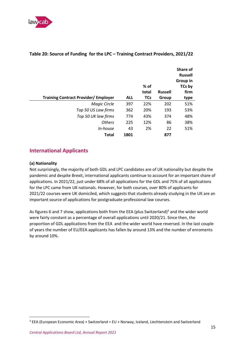

|                                             |            |            |                | Share of<br><b>Russell</b> |
|---------------------------------------------|------------|------------|----------------|----------------------------|
|                                             |            |            |                | Group in                   |
|                                             |            | % of       |                | TCs by                     |
|                                             |            | total      | <b>Russell</b> | firm                       |
| <b>Training Contract Provider/ Employer</b> | <b>ALL</b> | <b>TCs</b> | Group          | type                       |
| Magic Circle                                | 397        | 22%        | 202            | 51%                        |
| Top 50 US Law firms                         | 362        | 20%        | 193            | 53%                        |
| Top 50 UK law firms                         | 774        | 43%        | 374            | 48%                        |
| <b>Others</b>                               | 225        | 12%        | 86             | 38%                        |
| <i>In-house</i>                             | 43         | 2%         | 22             | 51%                        |
| <b>Total</b>                                | 1801       |            | 877            |                            |

#### **Table 20: Source of Funding for the LPC – Training Contract Providers, 2021/22**

## <span id="page-15-0"></span>**International Applicants**

#### **(a) Nationality**

Not surprisingly, the majority of both GDL and LPC candidates are of UK nationality but despite the pandemic and despite Brexit, international applicants continue to account for an important share of applications. In 2021/22, just under 68% of all applications for the GDL and 75% of all applications for the LPC came from UK nationals. However, for both courses, over 80% of applicants for 2021/22 courses were UK domiciled, which suggests that students already studying in the UK are an important source of applications for postgraduate professional law courses.

As figures 6 and 7 show, applications both from the EEA (plus Switzerland)<sup>3</sup> and the wider world were fairly constant as a percentage of overall applications until 2020/21. Since then, the proportion of GDL applications from the EEA and the wider world have reversed. In the last couple of years the number of EU/EEA applicants has fallen by around 13% and the number of enroments by around 10%.

<sup>&</sup>lt;sup>3</sup> EEA (European Economic Area) + Switzerland = EU + Norway, Iceland, Liechtenstein and Switzerland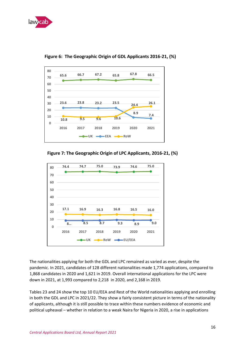



**Figure 6: The Geographic Origin of GDL Applicants 2016-21, (%)**

**Figure 7: The Geographic Origin of LPC Applicants, 2016-21, (%)**



The nationalities applying for both the GDL and LPC remained as varied as ever, despite the pandemic. In 2021, candidates of 128 different nationalities made 1,774 applications, compared to 1,868 candidates in 2020 and 1,621 in 2019. Overall international applications for the LPC were down in 2021, at 1,993 compared to 2,218 in 2020, and 2,168 in 2019.

Tables 23 and 24 show the top 10 EU/EEA and Rest of the World nationalities applying and enrolling in both the GDL and LPC in 2021/22. They show a fairly consistent picture in terms of the nationality of applicants, although it is still possible to trace within these numbers evidence of economic and political upheaval – whether in relation to a weak Naira for Nigeria in 2020, a rise in applications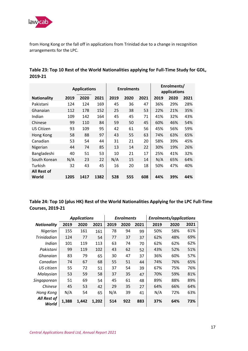

from Hong Kong or the fall off in applications from Trinidad due to a change in recognition arrangements for the LPC.

|                      | <b>Applications</b> |      |      | <b>Enrolments</b> |      |      | Enrolments/<br>applications |      |      |
|----------------------|---------------------|------|------|-------------------|------|------|-----------------------------|------|------|
| <b>Nationality</b>   | 2019                | 2020 | 2021 | 2019              | 2020 | 2021 | 2019                        | 2020 | 2021 |
| Pakistani            | 124                 | 124  | 169  | 45                | 36   | 47   | 36%                         | 29%  | 28%  |
| Ghanaian             | 112                 | 178  | 152  | 25                | 38   | 53   | 22%                         | 21%  | 35%  |
| Indian               | 109                 | 142  | 164  | 45                | 45   | 71   | 41%                         | 32%  | 43%  |
| Chinese              | 99                  | 110  | 84   | 59                | 50   | 45   | 60%                         | 46%  | 54%  |
| <b>US Citizen</b>    | 93                  | 109  | 95   | 42                | 61   | 56   | 45%                         | 56%  | 59%  |
| Hong Kong            | 58                  | 88   | 97   | 43                | 55   | 63   | 74%                         | 63%  | 65%  |
| Canadian             | 53                  | 54   | 44   | 31                | 21   | 20   | 58%                         | 39%  | 45%  |
| Nigerian             | 44                  | 74   | 85   | 13                | 14   | 22   | 30%                         | 19%  | 26%  |
| Bangladeshi          | 40                  | 51   | 53   | 10                | 21   | 17   | 25%                         | 41%  | 32%  |
| South Korean         | N/A                 | 23   | 22   | N/A               | 15   | 14   | N/A                         | 65%  | 64%  |
| Turkish              | 32                  | 43   | 45   | 16                | 20   | 18   | 50%                         | 47%  | 40%  |
| All Rest of<br>World | 1205                | 1417 | 1382 | 528               | 555  | 608  | 44%                         | 39%  | 44%  |

| Table 23: Top 10 Rest of the World Nationalities applying for Full-Time Study for GDL, |  |
|----------------------------------------------------------------------------------------|--|
| 2019-21                                                                                |  |

**Table 24: Top 10 (plus HK) Rest of the World Nationalities Applying for the LPC Full-Time Courses, 2019-21**

|                      | <b>Applications</b> |       |       | <b>Enrolments</b> |      |      | <b>Enrolments/applications</b> |      |      |
|----------------------|---------------------|-------|-------|-------------------|------|------|--------------------------------|------|------|
| <b>Nationality</b>   | 2019                | 2020  | 2021  | 2019              | 2020 | 2021 | 2019                           | 2020 | 2021 |
| Nigerian             | 155                 | 161   | 161   | 78                | 94   | 99   | 50%                            | 58%  | 61%  |
| Trinidadian          | 124                 | 77    | 54    | 77                | 37   | 37   | 62%                            | 48%  | 69%  |
| Indian               | 101                 | 119   | 113   | 63                | 74   | 70   | 62%                            | 62%  | 62%  |
| Pakistani            | 99                  | 119   | 102   | 43                | 62   | 52   | 43%                            | 52%  | 51%  |
| Ghanaian             | 83                  | 79    | 65    | 30                | 47   | 37   | 36%                            | 60%  | 57%  |
| Canadian             | 74                  | 67    | 68    | 55                | 51   | 44   | 74%                            | 76%  | 65%  |
| US citizen           | 55                  | 72    | 51    | 37                | 54   | 39   | 67%                            | 75%  | 76%  |
| Malaysian            | 53                  | 59    | 58    | 37                | 35   | 47   | 70%                            | 59%  | 81%  |
| Singaporean          | 51                  | 69    | 54    | 45                | 61   | 48   | 89%                            | 88%  | 89%  |
| Chinese              | 45                  | 53    | 42    | 29                | 35   | 27   | 64%                            | 66%  | 64%  |
| Hong Kong            | N/A                 | 54    | 65    | N/A               | 39   | 41   | N/A                            | 72%  | 63%  |
| All Rest of<br>World | 1,388               | 1,442 | 1,202 | 514               | 922  | 883  | 37%                            | 64%  | 73%  |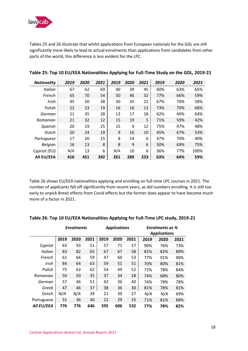

Tables 25 and 26 illustrate that whilst applications from European nationals for the GDL are still significantly more likely to lead to actual enrolments than applications from candidates from other parts of the world, this difference is less evident for the LPC.

| <b>Nationality</b> | 2019 | 2020 | 2021 | 2019 | 2020 | 2021 | 2019 | 2020 | 2021 |
|--------------------|------|------|------|------|------|------|------|------|------|
| Italian            | 67   | 62   | 69   | 40   | 39   | 45   | 60%  | 63%  | 65%  |
| French             | 65   | 70   | 54   | 50   | 46   | 32   | 77%  | 66%  | 59%  |
| Irish              | 45   | 50   | 38   | 30   | 35   | 22   | 67%  | 70%  | 58%  |
| Polish             | 22   | 23   | 19   | 16   | 16   | 13   | 73%  | 70%  | 68%  |
| German             | 21   | 35   | 28   | 13   | 17   | 18   | 62%  | 49%  | 64%  |
| Romanian           | 21   | 32   | 12   | 15   | 19   | 5    | 71%  | 59%  | 42%  |
| Spanish            | 20   | 19   | 25   | 15   | 9    | 12   | 75%  | 47%  | 48%  |
| Dutch              | 20   | 24   | 19   | 9    | 16   | 10   | 45%  | 67%  | 53%  |
| Portuguese         | 17   | 20   | 15   | 8    | 14   | 6    | 47%  | 70%  | 40%  |
| <b>Belgian</b>     | 16   | 13   | 8    | 8    | 9    | 6    | 50%  | 69%  | 75%  |
| Cypriot (EU)       | N/A  | 13   | 6    | N/A  | 10   | 6    | 36%  | 77%  | 100% |
| All EU/EEA         | 416  | 451  | 392  | 261  | 289  | 233  | 63%  | 64%  | 59%  |

#### **Table 25: Top 10 EU/EEA Nationalities Applying for Full-Time Study on the GDL, 2019-21**

Table 26 shows EU/EEA nationalities applying and enrolling on full-time LPC courses in 2021. The number of applicants fell off significantly from recent years, as did numbers enrolling. It is still too early to unpick Brexit effects from Covid effects but the former does appear to have become much more of a factor in 2021.

|            | <b>Enrolments</b> |      |      | <b>Applications</b> |      |      | <b>Enrolments as %</b> |      |      |
|------------|-------------------|------|------|---------------------|------|------|------------------------|------|------|
|            |                   |      |      |                     |      |      | <b>Applications</b>    |      |      |
|            | 2019              | 2020 | 2021 | 2019                | 2020 | 2021 | 2019                   | 2020 | 2021 |
| Cypriot    | 63                | 93   | 51   | 57                  | 71   | 37   | 90%                    | 76%  | 73%  |
| Italian    | 83                | 82   | 65   | 67                  | 67   | 58   | 81%                    | 82%  | 89%  |
| French     | 61                | 66   | 59   | 47                  | 60   | 53   | 77%                    | 91%  | 90%  |
| Irish      | 84                | 64   | 63   | 59                  | 51   | 51   | 70%                    | 80%  | 81%  |
| Polish     | 75                | 63   | 62   | 54                  | 49   | 52   | 72%                    | 78%  | 84%  |
| Romanian   | 50                | 50   | 35   | 37                  | 34   | 28   | 74%                    | 68%  | 80%  |
| German     | 57                | 46   | 51   | 42                  | 36   | 40   | 74%                    | 78%  | 78%  |
| Greek      | 47                | 46   | 37   | 38                  | 36   | 30   | 81%                    | 78%  | 81%  |
| Dutch      | N/A               | N/A  | 39   | 21                  | 30   | 27   | N/A                    | N/A  | 69%  |
| Portuguese | 31                | 36   | 40   | 22                  | 29   | 35   | 71%                    | 81%  | 88%  |
| All EU/EEA | 776               | 776  | 646  | 595                 | 606  | 532  | 77%                    | 78%  | 82%  |

#### **Table 26: Top 10 EU/EEA Nationalities Applying for Full-Time LPC study, 2019-21**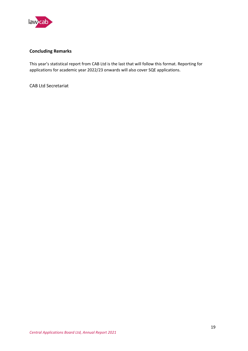

#### **Concluding Remarks**

This year's statistical report from CAB Ltd is the last that will follow this format. Reporting for applications for academic year 2022/23 onwards will also cover SQE applications.

CAB Ltd Secretariat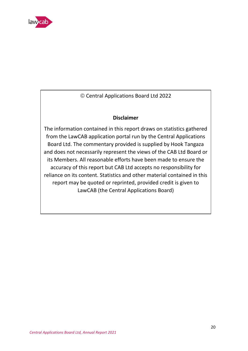

© Central Applications Board Ltd 2022

# **Disclaimer**

The information contained in this report draws on statistics gathered from the LawCAB application portal run by the Central Applications Board Ltd. The commentary provided is supplied by Hook Tangaza and does not necessarily represent the views of the CAB Ltd Board or its Members. All reasonable efforts have been made to ensure the accuracy of this report but CAB Ltd accepts no responsibility for reliance on its content. Statistics and other material contained in this report may be quoted or reprinted, provided credit is given to LawCAB (the Central Applications Board)